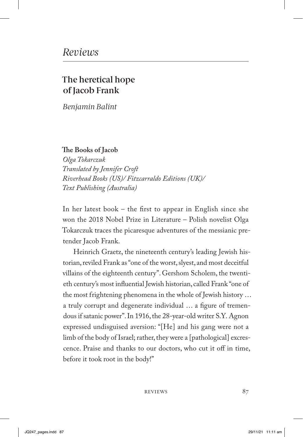## The heretical hope of Jacob Frank

*Benjamin Balint*

**The Books of Jacob**

*Olga Tokarczuk Translated by Jennifer Croft Riverhead Books (US)/ Fitzcarraldo Editions (UK)/ Text Publishing (Australia)*

In her latest book – the first to appear in English since she won the 2018 Nobel Prize in Literature – Polish novelist Olga Tokarczuk traces the picaresque adventures of the messianic pretender Jacob Frank.

Heinrich Graetz, the nineteenth century's leading Jewish historian, reviled Frank as "one of the worst, slyest, and most deceitful villains of the eighteenth century". Gershom Scholem, the twentieth century's most influential Jewish historian, called Frank "one of the most frightening phenomena in the whole of Jewish history … a truly corrupt and degenerate individual … a figure of tremendous if satanic power". In 1916, the 28-year-old writer S.Y. Agnon expressed undisguised aversion: "[He] and his gang were not a limb of the body of Israel; rather, they were a [pathological] excrescence. Praise and thanks to our doctors, who cut it off in time, before it took root in the body!"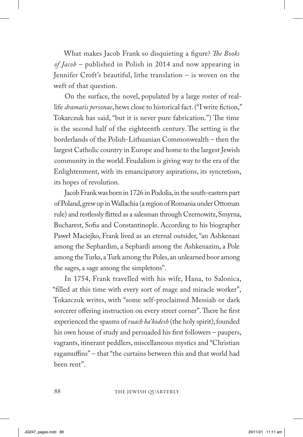What makes Jacob Frank so disquieting a figure? *The Books of Jacob* – published in Polish in 2014 and now appearing in Jennifer Croft's beautiful, lithe translation – is woven on the weft of that question.

On the surface, the novel, populated by a large roster of reallife *dramatis personae*, hews close to historical fact. ("I write fiction," Tokarczuk has said, "but it is never pure fabrication.") The time is the second half of the eighteenth century. The setting is the borderlands of the Polish-Lithuanian Commonwealth – then the largest Catholic country in Europe and home to the largest Jewish community in the world. Feudalism is giving way to the era of the Enlightenment, with its emancipatory aspirations, its syncretism, its hopes of revolution.

Jacob Frank was born in 1726 in Podolia, in the south-eastern part of Poland, grew up in Wallachia (a region of Romania under Ottoman rule) and restlessly flitted as a salesman through Czernowitz, Smyrna, Bucharest, Sofia and Constantinople. According to his biographer Paweł Maciejko, Frank lived as an eternal outsider, "an Ashkenazi among the Sephardim, a Sephardi among the Ashkenazim, a Pole among the Turks, a Turk among the Poles, an unlearned boor among the sages, a sage among the simpletons".

In 1754, Frank travelled with his wife, Hana, to Salonica, "filled at this time with every sort of mage and miracle worker", Tokarczuk writes, with "some self-proclaimed Messiah or dark sorcerer offering instruction on every street corner". There he first experienced the spasms of *ruach ha'kodesh* (the holy spirit), founded his own house of study and persuaded his first followers – paupers, vagrants, itinerant peddlers, miscellaneous mystics and "Christian ragamuffins" – that "the curtains between this and that world had been rent".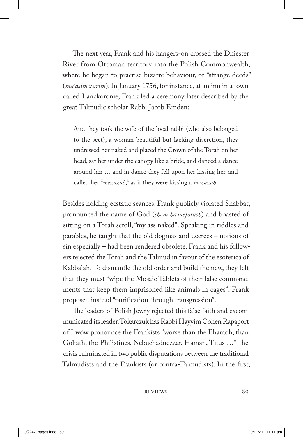The next year, Frank and his hangers-on crossed the Dniester River from Ottoman territory into the Polish Commonwealth, where he began to practise bizarre behaviour, or "strange deeds" (*ma'asim zarim*). In January 1756, for instance, at an inn in a town called Lanckoronie, Frank led a ceremony later described by the great Talmudic scholar Rabbi Jacob Emden:

And they took the wife of the local rabbi (who also belonged to the sect), a woman beautiful but lacking discretion, they undressed her naked and placed the Crown of the Torah on her head, sat her under the canopy like a bride, and danced a dance around her … and in dance they fell upon her kissing her, and called her "*mezuzah*," as if they were kissing a *mezuzah*.

Besides holding ecstatic seances, Frank publicly violated Shabbat, pronounced the name of God (*shem ha'meforash*) and boasted of sitting on a Torah scroll, "my ass naked". Speaking in riddles and parables, he taught that the old dogmas and decrees – notions of sin especially – had been rendered obsolete. Frank and his followers rejected the Torah and the Talmud in favour of the esoterica of Kabbalah. To dismantle the old order and build the new, they felt that they must "wipe the Mosaic Tablets of their false commandments that keep them imprisoned like animals in cages". Frank proposed instead "purification through transgression".

The leaders of Polish Jewry rejected this false faith and excommunicated its leader. Tokarczuk has Rabbi Hayyim Cohen Rapaport of Lwów pronounce the Frankists "worse than the Pharaoh, than Goliath, the Philistines, Nebuchadnezzar, Haman, Titus …" The crisis culminated in two public disputations between the traditional Talmudists and the Frankists (or contra-Talmudists). In the first,

REVIEWS 89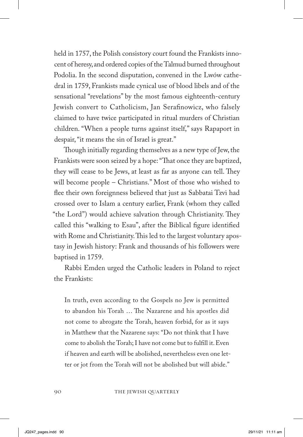held in 1757, the Polish consistory court found the Frankists innocent of heresy, and ordered copies of the Talmud burned throughout Podolia. In the second disputation, convened in the Lwów cathedral in 1759, Frankists made cynical use of blood libels and of the sensational "revelations" by the most famous eighteenth-century Jewish convert to Catholicism, Jan Serafinowicz, who falsely claimed to have twice participated in ritual murders of Christian children. "When a people turns against itself," says Rapaport in despair, "it means the sin of Israel is great."

Though initially regarding themselves as a new type of Jew, the Frankists were soon seized by a hope: "That once they are baptized, they will cease to be Jews, at least as far as anyone can tell. They will become people – Christians." Most of those who wished to flee their own foreignness believed that just as Sabbatai Tzvi had crossed over to Islam a century earlier, Frank (whom they called "the Lord") would achieve salvation through Christianity. They called this "walking to Esau", after the Biblical figure identified with Rome and Christianity. This led to the largest voluntary apostasy in Jewish history: Frank and thousands of his followers were baptised in 1759.

Rabbi Emden urged the Catholic leaders in Poland to reject the Frankists:

In truth, even according to the Gospels no Jew is permitted to abandon his Torah … The Nazarene and his apostles did not come to abrogate the Torah, heaven forbid, for as it says in Matthew that the Nazarene says: "Do not think that I have come to abolish the Torah; I have not come but to fulfill it. Even if heaven and earth will be abolished, nevertheless even one letter or jot from the Torah will not be abolished but will abide."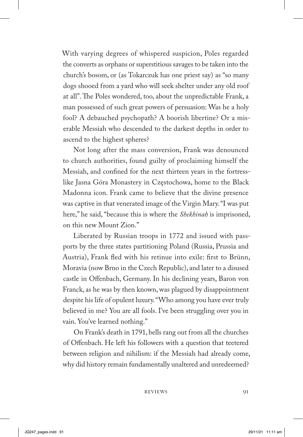With varying degrees of whispered suspicion, Poles regarded the converts as orphans or superstitious savages to be taken into the church's bosom, or (as Tokarczuk has one priest say) as "so many dogs shooed from a yard who will seek shelter under any old roof at all". The Poles wondered, too, about the unpredictable Frank, a man possessed of such great powers of persuasion: Was he a holy fool? A debauched psychopath? A boorish libertine? Or a miserable Messiah who descended to the darkest depths in order to ascend to the highest spheres?

Not long after the mass conversion, Frank was denounced to church authorities, found guilty of proclaiming himself the Messiah, and confined for the next thirteen years in the fortresslike Jasna Góra Monastery in Częstochowa, home to the Black Madonna icon. Frank came to believe that the divine presence was captive in that venerated image of the Virgin Mary. "I was put here," he said, "because this is where the *Shekhinah* is imprisoned, on this new Mount Zion."

Liberated by Russian troops in 1772 and issued with passports by the three states partitioning Poland (Russia, Prussia and Austria), Frank fled with his retinue into exile: first to Brünn, Moravia (now Brno in the Czech Republic), and later to a disused castle in Offenbach, Germany. In his declining years, Baron von Franck, as he was by then known, was plagued by disappointment despite his life of opulent luxury. "Who among you have ever truly believed in me? You are all fools. I've been struggling over you in vain. You've learned nothing."

On Frank's death in 1791, bells rang out from all the churches of Offenbach. He left his followers with a question that teetered between religion and nihilism: if the Messiah had already come, why did history remain fundamentally unaltered and unredeemed?

REVIEWS 91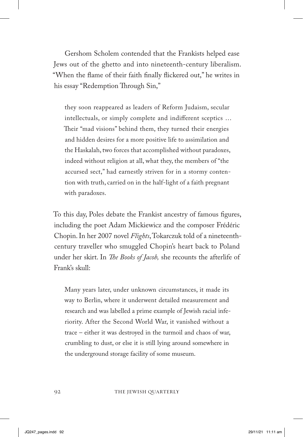Gershom Scholem contended that the Frankists helped ease Jews out of the ghetto and into nineteenth-century liberalism. "When the flame of their faith finally flickered out," he writes in his essay "Redemption Through Sin,"

they soon reappeared as leaders of Reform Judaism, secular intellectuals, or simply complete and indifferent sceptics … Their "mad visions" behind them, they turned their energies and hidden desires for a more positive life to assimilation and the Haskalah, two forces that accomplished without paradoxes, indeed without religion at all, what they, the members of "the accursed sect," had earnestly striven for in a stormy contention with truth, carried on in the half-light of a faith pregnant with paradoxes.

To this day, Poles debate the Frankist ancestry of famous figures, including the poet Adam Mickiewicz and the composer Frédéric Chopin. In her 2007 novel *Flights*, Tokarczuk told of a nineteenthcentury traveller who smuggled Chopin's heart back to Poland under her skirt. In *The Books of Jacob,* she recounts the afterlife of Frank's skull:

Many years later, under unknown circumstances, it made its way to Berlin, where it underwent detailed measurement and research and was labelled a prime example of Jewish racial inferiority. After the Second World War, it vanished without a trace – either it was destroyed in the turmoil and chaos of war, crumbling to dust, or else it is still lying around somewhere in the underground storage facility of some museum.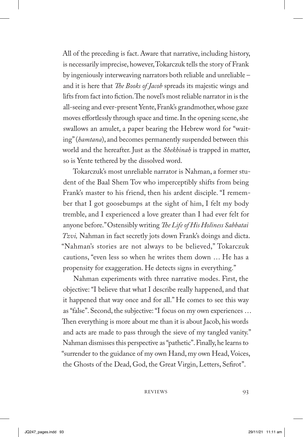All of the preceding is fact. Aware that narrative, including history, is necessarily imprecise, however, Tokarczuk tells the story of Frank by ingeniously interweaving narrators both reliable and unreliable – and it is here that *The Books of Jacob* spreads its majestic wings and lifts from fact into fiction. The novel's most reliable narrator in is the all-seeing and ever-present Yente, Frank's grandmother, whose gaze moves effortlessly through space and time. In the opening scene, she swallows an amulet, a paper bearing the Hebrew word for "waiting" (*hamtana*), and becomes permanently suspended between this world and the hereafter. Just as the *Shekhinah* is trapped in matter, so is Yente tethered by the dissolved word.

Tokarczuk's most unreliable narrator is Nahman, a former student of the Baal Shem Tov who imperceptibly shifts from being Frank's master to his friend, then his ardent disciple. "I remember that I got goosebumps at the sight of him, I felt my body tremble, and I experienced a love greater than I had ever felt for anyone before." Ostensibly writing *The Life of His Holiness Sabbatai Tzvi,* Nahman in fact secretly jots down Frank's doings and dicta. "Nahman's stories are not always to be believed," Tokarczuk cautions, "even less so when he writes them down … He has a propensity for exaggeration. He detects signs in everything."

Nahman experiments with three narrative modes. First, the objective: "I believe that what I describe really happened, and that it happened that way once and for all." He comes to see this way as "false". Second, the subjective: "I focus on my own experiences … Then everything is more about me than it is about Jacob, his words and acts are made to pass through the sieve of my tangled vanity." Nahman dismisses this perspective as "pathetic". Finally, he learns to "surrender to the guidance of my own Hand, my own Head, Voices, the Ghosts of the Dead, God, the Great Virgin, Letters, Sefirot".

REVIEWS 93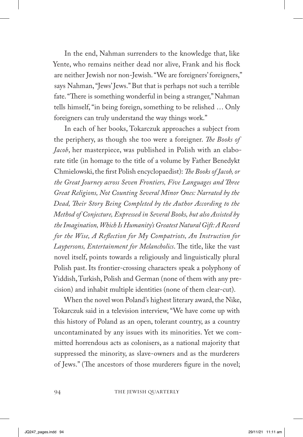In the end, Nahman surrenders to the knowledge that, like Yente, who remains neither dead nor alive, Frank and his flock are neither Jewish nor non-Jewish. "We are foreigners' foreigners," says Nahman, "Jews' Jews." But that is perhaps not such a terrible fate. "There is something wonderful in being a stranger," Nahman tells himself, "in being foreign, something to be relished … Only foreigners can truly understand the way things work."

In each of her books, Tokarczuk approaches a subject from the periphery, as though she too were a foreigner. *The Books of Jacob*, her masterpiece, was published in Polish with an elaborate title (in homage to the title of a volume by Father Benedykt Chmielowski, the first Polish encyclopaedist): *The Books of Jacob, or the Great Journey across Seven Frontiers, Five Languages and Three Great Religions, Not Counting Several Minor Ones: Narrated by the Dead, Their Story Being Completed by the Author According to the Method of Conjecture, Expressed in Several Books, but also Assisted by the Imagination, Which Is Humanity's Greatest Natural Gift: A Record for the Wise, A Reflection for My Compatriots, An Instruction for Laypersons, Entertainment for Melancholics*. The title, like the vast novel itself, points towards a religiously and linguistically plural Polish past. Its frontier-crossing characters speak a polyphony of Yiddish, Turkish, Polish and German (none of them with any precision) and inhabit multiple identities (none of them clear-cut).

When the novel won Poland's highest literary award, the Nike, Tokarczuk said in a television interview, "We have come up with this history of Poland as an open, tolerant country, as a country uncontaminated by any issues with its minorities. Yet we committed horrendous acts as colonisers, as a national majority that suppressed the minority, as slave-owners and as the murderers of Jews." (The ancestors of those murderers figure in the novel;

94 THE JEWISH QUARTERLY